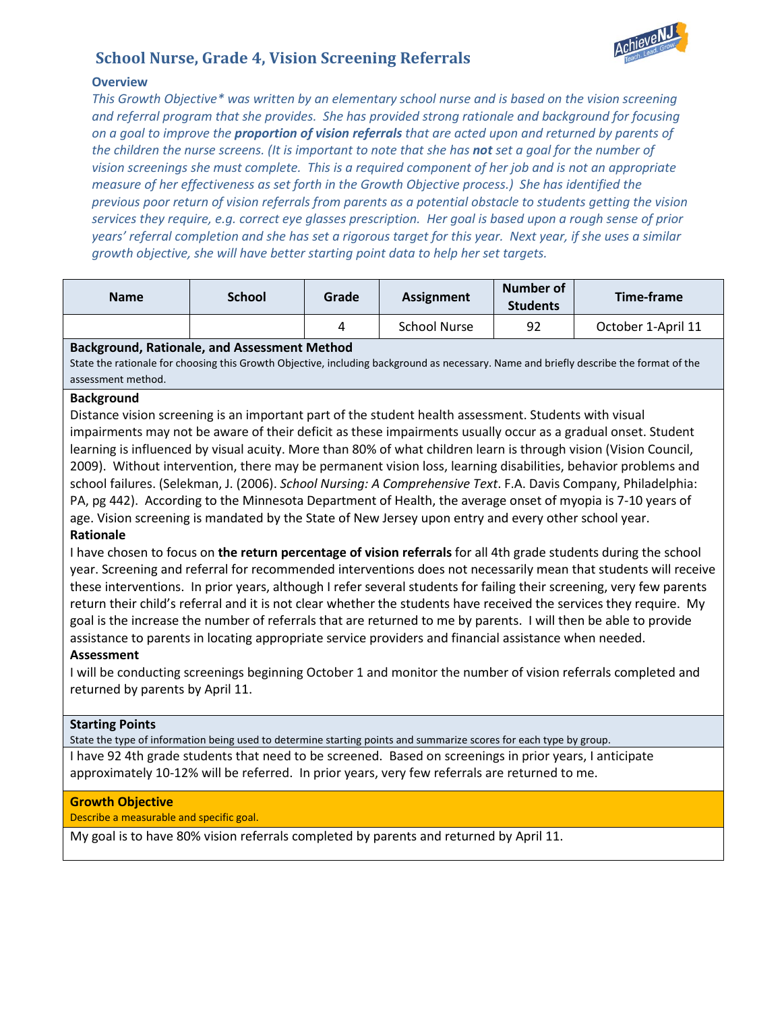

# **School Nurse, Grade 4, Vision Screening Referrals**

# **Overview**

*This Growth Objective\* was written by an elementary school nurse and is based on the vision screening and referral program that she provides. She has provided strong rationale and background for focusing on a goal to improve the proportion of vision referrals that are acted upon and returned by parents of the children the nurse screens. (It is important to note that she has not set a goal for the number of vision screenings she must complete. This is a required component of her job and is not an appropriate measure of her effectiveness as set forth in the Growth Objective process.) She has identified the previous poor return of vision referrals from parents as a potential obstacle to students getting the vision services they require, e.g. correct eye glasses prescription. Her goal is based upon a rough sense of prior years' referral completion and she has set a rigorous target for this year. Next year, if she uses a similar growth objective, she will have better starting point data to help her set targets.* 

| <b>Name</b> | <b>School</b> | Grade | <b>Assignment</b> | Number of<br><b>Students</b> | Time-frame         |
|-------------|---------------|-------|-------------------|------------------------------|--------------------|
|             |               |       | School Nurse      | 92                           | October 1-April 11 |

## **Background, Rationale, and Assessment Method**

State the rationale for choosing this Growth Objective, including background as necessary. Name and briefly describe the format of the assessment method.

## **Background**

Distance vision screening is an important part of the student health assessment. Students with visual impairments may not be aware of their deficit as these impairments usually occur as a gradual onset. Student learning is influenced by visual acuity. More than 80% of what children learn is through vision (Vision Council, 2009). Without intervention, there may be permanent vision loss, learning disabilities, behavior problems and school failures. (Selekman, J. (2006). *School Nursing: A Comprehensive Text*. F.A. Davis Company, Philadelphia: PA, pg 442). According to the Minnesota Department of Health, the average onset of myopia is 7-10 years of age. Vision screening is mandated by the State of New Jersey upon entry and every other school year. **Rationale**

I have chosen to focus on **the return percentage of vision referrals** for all 4th grade students during the school year. Screening and referral for recommended interventions does not necessarily mean that students will receive these interventions. In prior years, although I refer several students for failing their screening, very few parents return their child's referral and it is not clear whether the students have received the services they require. My goal is the increase the number of referrals that are returned to me by parents. I will then be able to provide assistance to parents in locating appropriate service providers and financial assistance when needed.

#### **Assessment**

I will be conducting screenings beginning October 1 and monitor the number of vision referrals completed and returned by parents by April 11.

#### **Starting Points**

State the type of information being used to determine starting points and summarize scores for each type by group. I have 92 4th grade students that need to be screened. Based on screenings in prior years, I anticipate approximately 10-12% will be referred. In prior years, very few referrals are returned to me.

#### **Growth Objective**

Describe a measurable and specific goal.

My goal is to have 80% vision referrals completed by parents and returned by April 11.